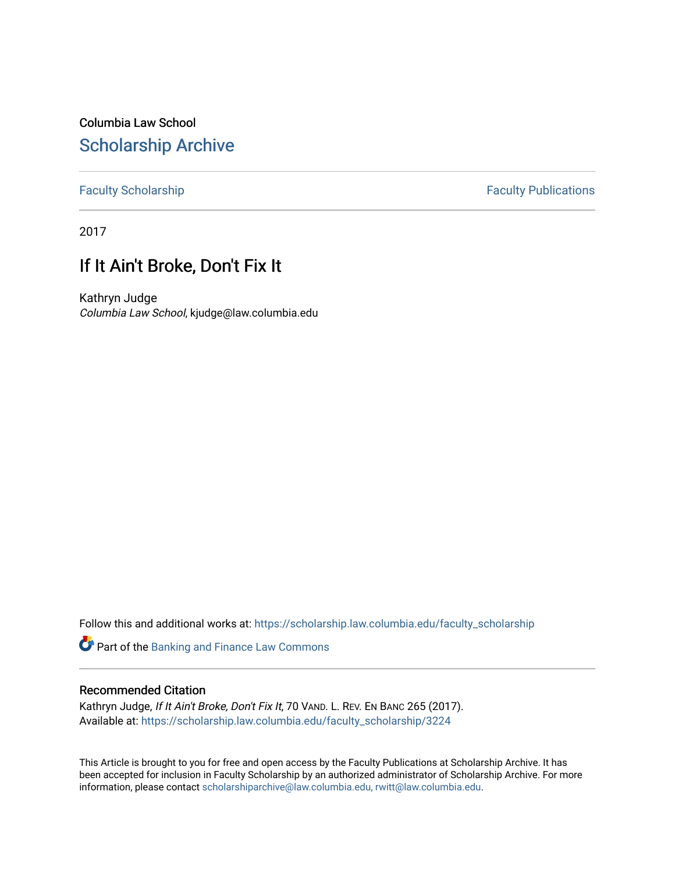Columbia Law School [Scholarship Archive](https://scholarship.law.columbia.edu/) 

### [Faculty Scholarship](https://scholarship.law.columbia.edu/faculty_scholarship) **Faculty Publications**

2017

# If It Ain't Broke, Don't Fix It

Kathryn Judge Columbia Law School, kjudge@law.columbia.edu

Follow this and additional works at: [https://scholarship.law.columbia.edu/faculty\\_scholarship](https://scholarship.law.columbia.edu/faculty_scholarship?utm_source=scholarship.law.columbia.edu%2Ffaculty_scholarship%2F3224&utm_medium=PDF&utm_campaign=PDFCoverPages)

Part of the [Banking and Finance Law Commons](http://network.bepress.com/hgg/discipline/833?utm_source=scholarship.law.columbia.edu%2Ffaculty_scholarship%2F3224&utm_medium=PDF&utm_campaign=PDFCoverPages) 

#### Recommended Citation

Kathryn Judge, If It Ain't Broke, Don't Fix It, 70 VAND. L. REV. EN BANC 265 (2017). Available at: [https://scholarship.law.columbia.edu/faculty\\_scholarship/3224](https://scholarship.law.columbia.edu/faculty_scholarship/3224?utm_source=scholarship.law.columbia.edu%2Ffaculty_scholarship%2F3224&utm_medium=PDF&utm_campaign=PDFCoverPages)

This Article is brought to you for free and open access by the Faculty Publications at Scholarship Archive. It has been accepted for inclusion in Faculty Scholarship by an authorized administrator of Scholarship Archive. For more information, please contact [scholarshiparchive@law.columbia.edu, rwitt@law.columbia.edu](mailto:scholarshiparchive@law.columbia.edu,%20rwitt@law.columbia.edu).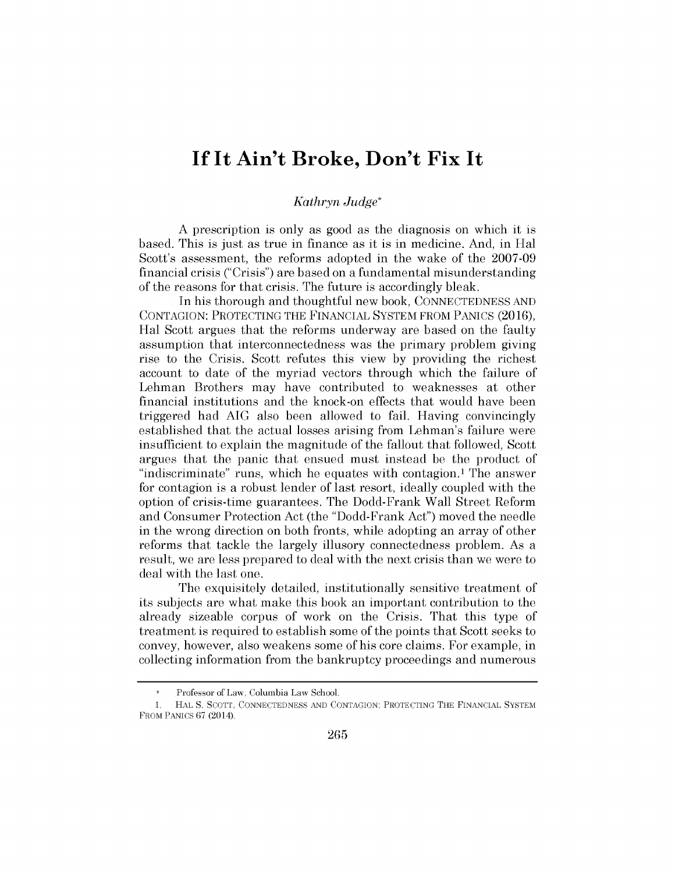# **If It Ain't Broke, Don't Fix It**

## *Kathryn Judge\**

**A** prescription is only as good as the diagnosis on which it **is** based. This *is* just as true in finance as it *is* in medicine. And, in Hal Scott's assessment, the reforms adopted in the wake of the **2007-09** financial *crisis ("Crisis")* are based on a fundamental misunderstanding of the reasons for that crisis. The future is accordingly bleak.

In his thorough and thoughtful new book, **CONNECTEDNESS AND CONTAGION:** PROTECTING THE **FINANCIAL** SYSTEM FROM **PANICS (2016),** Hal Scott argues that the reforms underway are based on the faulty assumption that interconnectedness was the primary problem giving rise to the Crisis. Scott refutes this view **by** providing the richest account to date of the myriad vectors through which the failure of Lehman Brothers may have contributed to weaknesses at other financial institutions and the knock-on effects that would have been triggered had **AIG** also been allowed to fail. Having convincingly established that the actual losses arising from Lehman's failure were insufficient to explain the magnitude of the fallout that followed, Scott argues that the panic that ensued must instead be the product of "indiscriminate" runs, which he equates with contagion.' The answer for contagion is a robust lender of last resort, ideally coupled with the option of crisis-time guarantees. The Dodd-Frank Wall Street Reform and Consumer Protection Act (the "Dodd-Frank Act") moved the needle in the wrong direction on both fronts, while adopting an array of other reforms that tackle the largely illusory connectedness problem. As a result, we are less prepared to deal with the next crisis than we were to deal with the last one.

The exquisitely detailed, institutionally sensitive treatment of its subjects are what make this book an important contribution to the already sizeable corpus of work on the Crisis. That this type of treatment is required to establish some of the points that Scott seeks to convey, however, also weakens some of his core claims. For example, in collecting information from the bankruptcy proceedings and numerous

Professor of Law, Columbia Law School.

**<sup>1.</sup>** HAL **S. SCOTT, CONNECTEDNESS AND** CONTAGION: PROTECTING THE FINANCIAL SYSTEM FROM PANICS 67 (2014).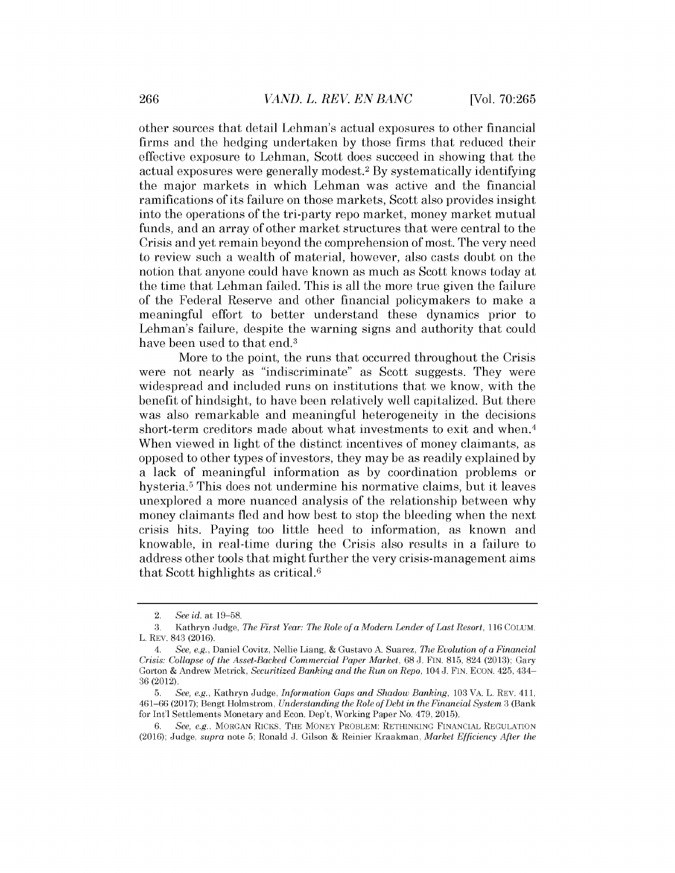other sources that detail Lehman's actual exposures to other financial firms and the hedging undertaken **by** those firms that reduced their effective exposure to Lehman, Scott does succeed in showing that the actual exposures were generally modest.<sup>2</sup>**By** systematically identifying the major markets in which Lehman was active and the financial ramifications of its failure on those markets, Scott also provides insight into the operations of the tri-party repo market, money market mutual funds, and an array of other market structures that were central to the Crisis and yet remain beyond the comprehension of most. The very need to review such a wealth of material, however, also casts doubt on the notion that anyone could have known as much as Scott knows today at the time that Lehman failed. This *is* all the more true given the failure of the Federal Reserve and other financial policymakers to make a meaningful effort to better understand these dynamics prior to Lehman's failure, despite the warning signs and authority that could have been used to that end.<sup>3</sup>

More to the point, the runs that occurred throughout the Crisis were not nearly as "indiscriminate" as Scott suggests. They were widespread and included runs on institutions that we know, with the benefit of hindsight, to have been relatively well capitalized. But there was also remarkable and meaningful heterogeneity in the decisions short-term creditors made about what investments to exit and when.<sup>4</sup> When viewed in light of the distinct incentives of money claimants, as opposed to other types of investors, they may be as readily explained **by** a lack of meaningful information as **by** coordination problems or hysteria.<sup>5</sup> This does not undermine his normative claims, but it leaves unexplored a more nuanced analysis of the relationship between why money claimants fled and how best to stop the bleeding when the next *crisis* hits. Paying too little heed to information, as known and knowable, in real-time during the *Crisis* also results in a failure to address other tools that might further the very crisis-management aims that Scott highlights as critical.<sup>6</sup>

<sup>2.</sup> *See id. at* **19-58.**

**<sup>3.</sup>** Kathryn Judge, *The First Year: The Role of a Modern Lender of Last Resort,* **116 COLUM.** L. REV. 843 **(2016).**

*<sup>4.</sup> See, e.g.,* Daniel Covitz, Nellie Liang, *&* Gustavo **A.** Suarez, *The Evolution of a Financial Crisis: Collapse of the Asset-Backed Commercial Paper Market,* **68 J.** FIN. **815,** 824 **(2013);** Gary Gorton *&* Andrew Metrick, *Securitized Banking and the Run on Repo,* 104 **J.** FIN. **ECON.** 425, 434- **36 (2012).**

**<sup>5.</sup>** *See, e.g.,* Kathryn Judge, *Information Gaps and Shadow Banking,* **103** VA. L. REV. **411, 461-66 (2017);** Bengt Holmstrom, *Understanding the Role ofDebt in the Financial System* **3** (Bank for Int'l Settlements Monetary and Econ. Dep't, Working Paper No. 479, **2015).**

*<sup>6.</sup> See, e.g.,* MORGAN RICKS, THE MONEY PROBLEM: RETHINKING FINANCIAL REGULATION **(2016);** Judge, *supra* note **5;** Ronald **J.** Gilson **&** Reinier Kraakman, *Market Efficiency After the*